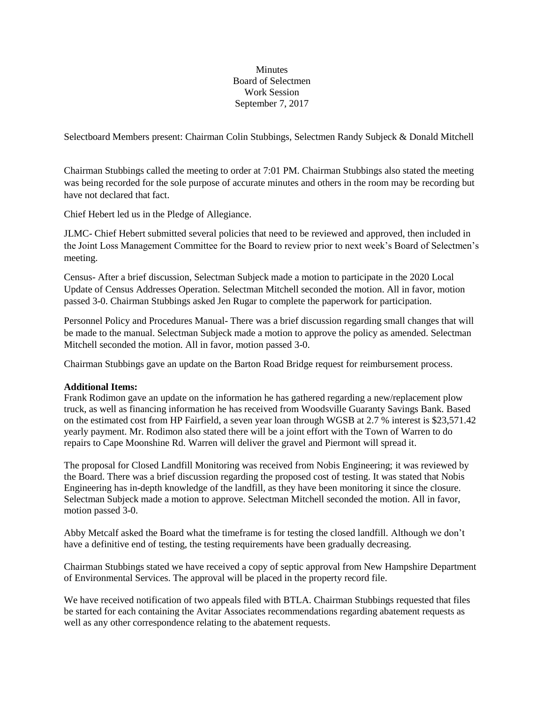## Minutes Board of Selectmen Work Session September 7, 2017

Selectboard Members present: Chairman Colin Stubbings, Selectmen Randy Subjeck & Donald Mitchell

Chairman Stubbings called the meeting to order at 7:01 PM. Chairman Stubbings also stated the meeting was being recorded for the sole purpose of accurate minutes and others in the room may be recording but have not declared that fact.

Chief Hebert led us in the Pledge of Allegiance.

JLMC- Chief Hebert submitted several policies that need to be reviewed and approved, then included in the Joint Loss Management Committee for the Board to review prior to next week's Board of Selectmen's meeting.

Census- After a brief discussion, Selectman Subjeck made a motion to participate in the 2020 Local Update of Census Addresses Operation. Selectman Mitchell seconded the motion. All in favor, motion passed 3-0. Chairman Stubbings asked Jen Rugar to complete the paperwork for participation.

Personnel Policy and Procedures Manual- There was a brief discussion regarding small changes that will be made to the manual. Selectman Subjeck made a motion to approve the policy as amended. Selectman Mitchell seconded the motion. All in favor, motion passed 3-0.

Chairman Stubbings gave an update on the Barton Road Bridge request for reimbursement process.

## **Additional Items:**

Frank Rodimon gave an update on the information he has gathered regarding a new/replacement plow truck, as well as financing information he has received from Woodsville Guaranty Savings Bank. Based on the estimated cost from HP Fairfield, a seven year loan through WGSB at 2.7 % interest is \$23,571.42 yearly payment. Mr. Rodimon also stated there will be a joint effort with the Town of Warren to do repairs to Cape Moonshine Rd. Warren will deliver the gravel and Piermont will spread it.

The proposal for Closed Landfill Monitoring was received from Nobis Engineering; it was reviewed by the Board. There was a brief discussion regarding the proposed cost of testing. It was stated that Nobis Engineering has in-depth knowledge of the landfill, as they have been monitoring it since the closure. Selectman Subjeck made a motion to approve. Selectman Mitchell seconded the motion. All in favor, motion passed 3-0.

Abby Metcalf asked the Board what the timeframe is for testing the closed landfill. Although we don't have a definitive end of testing, the testing requirements have been gradually decreasing.

Chairman Stubbings stated we have received a copy of septic approval from New Hampshire Department of Environmental Services. The approval will be placed in the property record file.

We have received notification of two appeals filed with BTLA. Chairman Stubbings requested that files be started for each containing the Avitar Associates recommendations regarding abatement requests as well as any other correspondence relating to the abatement requests.